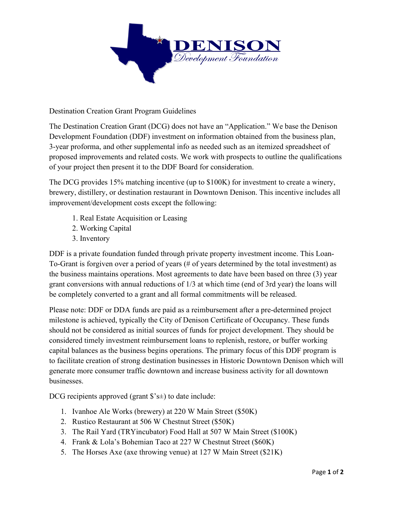

Destination Creation Grant Program Guidelines

The Destination Creation Grant (DCG) does not have an "Application." We base the Denison Development Foundation (DDF) investment on information obtained from the business plan, 3-year proforma, and other supplemental info as needed such as an itemized spreadsheet of proposed improvements and related costs. We work with prospects to outline the qualifications of your project then present it to the DDF Board for consideration.

The DCG provides 15% matching incentive (up to \$100K) for investment to create a winery, brewery, distillery, or destination restaurant in Downtown Denison. This incentive includes all improvement/development costs except the following:

- 1. Real Estate Acquisition or Leasing
- 2. Working Capital
- 3. Inventory

DDF is a private foundation funded through private property investment income. This Loan-To-Grant is forgiven over a period of years (# of years determined by the total investment) as the business maintains operations. Most agreements to date have been based on three (3) year grant conversions with annual reductions of 1/3 at which time (end of 3rd year) the loans will be completely converted to a grant and all formal commitments will be released.

Please note: DDF or DDA funds are paid as a reimbursement after a pre-determined project milestone is achieved, typically the City of Denison Certificate of Occupancy. These funds should not be considered as initial sources of funds for project development. They should be considered timely investment reimbursement loans to replenish, restore, or buffer working capital balances as the business begins operations. The primary focus of this DDF program is to facilitate creation of strong destination businesses in Historic Downtown Denison which will generate more consumer traffic downtown and increase business activity for all downtown businesses.

DCG recipients approved (grant  $\hat{\mathbf{s}}$ 's $\pm$ ) to date include:

- 1. Ivanhoe Ale Works (brewery) at 220 W Main Street (\$50K)
- 2. Rustico Restaurant at 506 W Chestnut Street (\$50K)
- 3. The Rail Yard (TRYincubator) Food Hall at 507 W Main Street (\$100K)
- 4. Frank & Lola's Bohemian Taco at 227 W Chestnut Street (\$60K)
- 5. The Horses Axe (axe throwing venue) at 127 W Main Street (\$21K)